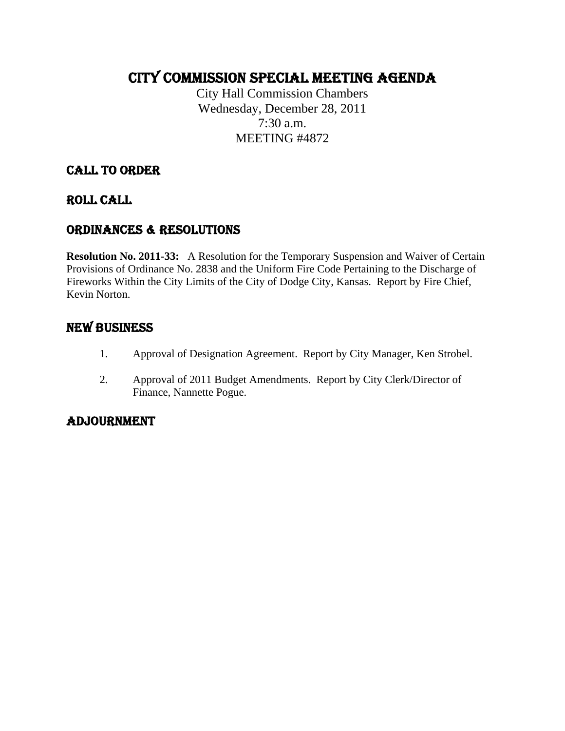# CITY COMMISSION SPECIAL MEETING AGENDA

City Hall Commission Chambers Wednesday, December 28, 2011 7:30 a.m. MEETING #4872

# CALL TO ORDER

### ROLL CALL

# ORDINANCES & RESOLUTIONS

**Resolution No. 2011-33:** A Resolution for the Temporary Suspension and Waiver of Certain Provisions of Ordinance No. 2838 and the Uniform Fire Code Pertaining to the Discharge of Fireworks Within the City Limits of the City of Dodge City, Kansas. Report by Fire Chief, Kevin Norton.

# NEW BUSINESS

- 1. Approval of Designation Agreement. Report by City Manager, Ken Strobel.
- 2. Approval of 2011 Budget Amendments. Report by City Clerk/Director of Finance, Nannette Pogue.

# ADJOURNMENT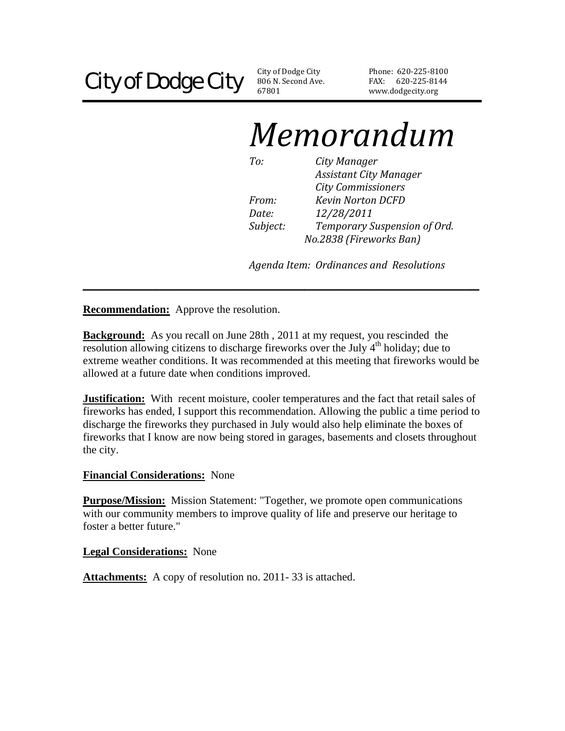806 N. Second Ave. 67801

Phone: 620‐225‐8100 FAX: 620‐225‐8144 www.dodgecity.org

# *Memorandum*

*To: City Manager Assistant City Manager City Commissioners From: Kevin Norton DCFD Date: 12/28/2011 Subject: Temporary Suspension of Ord. No.2838 (Fireworks Ban)*

*Agenda Item: Ordinances and Resolutions*

**Recommendation:** Approve the resolution.

**Background:** As you recall on June 28th , 2011 at my request, you rescinded the resolution allowing citizens to discharge fireworks over the July  $4<sup>th</sup>$  holiday; due to extreme weather conditions. It was recommended at this meeting that fireworks would be allowed at a future date when conditions improved.

**\_\_\_\_\_\_\_\_\_\_\_\_\_\_\_\_\_\_\_\_\_\_\_\_\_\_\_\_\_\_\_\_\_\_\_\_\_\_\_\_\_\_\_** 

**Justification:** With recent moisture, cooler temperatures and the fact that retail sales of fireworks has ended, I support this recommendation. Allowing the public a time period to discharge the fireworks they purchased in July would also help eliminate the boxes of fireworks that I know are now being stored in garages, basements and closets throughout the city.

#### **Financial Considerations:** None

**Purpose/Mission:** Mission Statement: "Together, we promote open communications with our community members to improve quality of life and preserve our heritage to foster a better future."

**Legal Considerations:** None

**Attachments:** A copy of resolution no. 2011-33 is attached.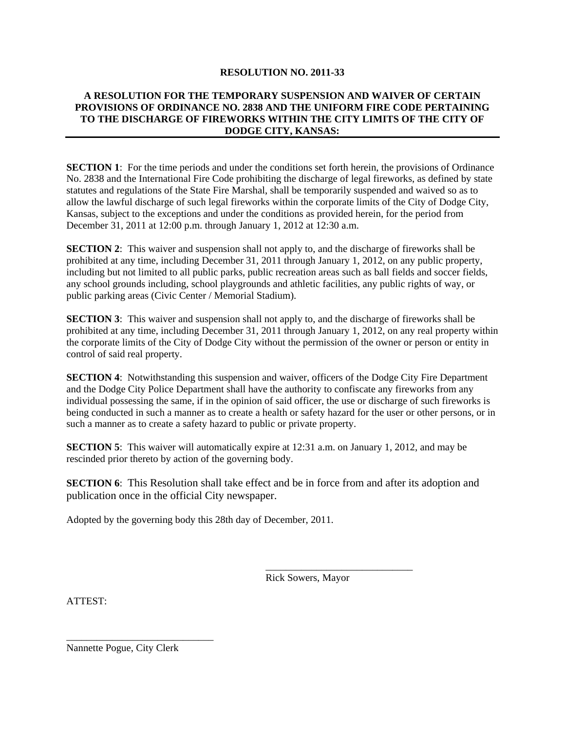#### **RESOLUTION NO. 2011-33**

#### **A RESOLUTION FOR THE TEMPORARY SUSPENSION AND WAIVER OF CERTAIN PROVISIONS OF ORDINANCE NO. 2838 AND THE UNIFORM FIRE CODE PERTAINING TO THE DISCHARGE OF FIREWORKS WITHIN THE CITY LIMITS OF THE CITY OF DODGE CITY, KANSAS:**

**SECTION 1**: For the time periods and under the conditions set forth herein, the provisions of Ordinance No. 2838 and the International Fire Code prohibiting the discharge of legal fireworks, as defined by state statutes and regulations of the State Fire Marshal, shall be temporarily suspended and waived so as to allow the lawful discharge of such legal fireworks within the corporate limits of the City of Dodge City, Kansas, subject to the exceptions and under the conditions as provided herein, for the period from December 31, 2011 at 12:00 p.m. through January 1, 2012 at 12:30 a.m.

**SECTION 2**: This waiver and suspension shall not apply to, and the discharge of fireworks shall be prohibited at any time, including December 31, 2011 through January 1, 2012, on any public property, including but not limited to all public parks, public recreation areas such as ball fields and soccer fields, any school grounds including, school playgrounds and athletic facilities, any public rights of way, or public parking areas (Civic Center / Memorial Stadium).

**SECTION 3**: This waiver and suspension shall not apply to, and the discharge of fireworks shall be prohibited at any time, including December 31, 2011 through January 1, 2012, on any real property within the corporate limits of the City of Dodge City without the permission of the owner or person or entity in control of said real property.

**SECTION 4:** Notwithstanding this suspension and waiver, officers of the Dodge City Fire Department and the Dodge City Police Department shall have the authority to confiscate any fireworks from any individual possessing the same, if in the opinion of said officer, the use or discharge of such fireworks is being conducted in such a manner as to create a health or safety hazard for the user or other persons, or in such a manner as to create a safety hazard to public or private property.

**SECTION 5**: This waiver will automatically expire at 12:31 a.m. on January 1, 2012, and may be rescinded prior thereto by action of the governing body.

**SECTION 6:** This Resolution shall take effect and be in force from and after its adoption and publication once in the official City newspaper.

 $\frac{1}{\sqrt{2\pi}}$  , which is a set of the set of the set of the set of the set of the set of the set of the set of the set of the set of the set of the set of the set of the set of the set of the set of the set of the set of

Adopted by the governing body this 28th day of December, 2011.

Rick Sowers, Mayor

ATTEST:

Nannette Pogue, City Clerk

\_\_\_\_\_\_\_\_\_\_\_\_\_\_\_\_\_\_\_\_\_\_\_\_\_\_\_\_\_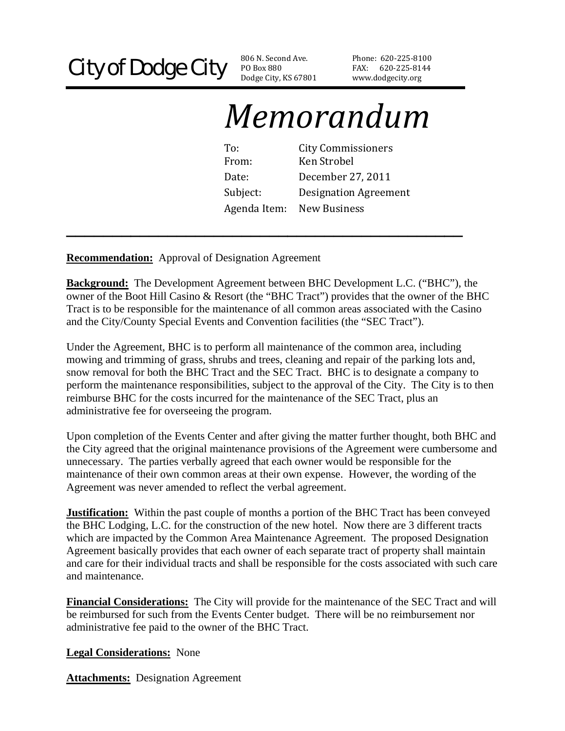PO Box 880 Dodge City, KS 67801

Phone: 620‐225‐81 00 FAX: 620‐225‐814 4 www.dodgecity.org

# *Memorandum*

| To:          | <b>City Commissioners</b>    |
|--------------|------------------------------|
| From:        | Ken Strobel                  |
| Date:        | December 27, 2011            |
| Subject:     | <b>Designation Agreement</b> |
| Agenda Item: | New Business                 |

**Recommendation:** Approval of Designation Agreement

**Background:** The Development Agreement between BHC Development L.C. ("BHC"), the owner of the Boot Hill Casino & Resort (the "BHC Tract") provides that the owner of the BHC Tract is to be responsible for the maintenance of all common areas associated with the Casino and the City/County Special Events and Convention facilities (the "SEC Tract").

**\_\_\_\_\_\_\_\_\_\_\_\_\_\_\_\_\_\_\_\_\_\_\_\_\_\_\_\_\_\_\_\_\_\_\_\_\_\_\_\_\_\_\_** 

Under the Agreement, BHC is to perform all maintenance of the common area, including mowing and trimming of grass, shrubs and trees, cleaning and repair of the parking lots and, snow removal for both the BHC Tract and the SEC Tract. BHC is to designate a company to perform the maintenance responsibilities, subject to the approval of the City. The City is to then reimburse BHC for the costs incurred for the maintenance of the SEC Tract, plus an administrative fee for overseeing the program.

Upon completion of the Events Center and after giving the matter further thought, both BHC and the City agreed that the original maintenance provisions of the Agreement were cumbersome and unnecessary. The parties verbally agreed that each owner would be responsible for the maintenance of their own common areas at their own expense. However, the wording of the Agreement was never amended to reflect the verbal agreement.

**Justification:** Within the past couple of months a portion of the BHC Tract has been conveyed the BHC Lodging, L.C. for the construction of the new hotel. Now there are 3 different tracts which are impacted by the Common Area Maintenance Agreement. The proposed Designation Agreement basically provides that each owner of each separate tract of property shall maintain and care for their individual tracts and shall be responsible for the costs associated with such care and maintenance.

**Financial Considerations:** The City will provide for the maintenance of the SEC Tract and will be reimbursed for such from the Events Center budget. There will be no reimbursement nor administrative fee paid to the owner of the BHC Tract.

**Legal Considerations:** None

**Attachments:** Designation Agreement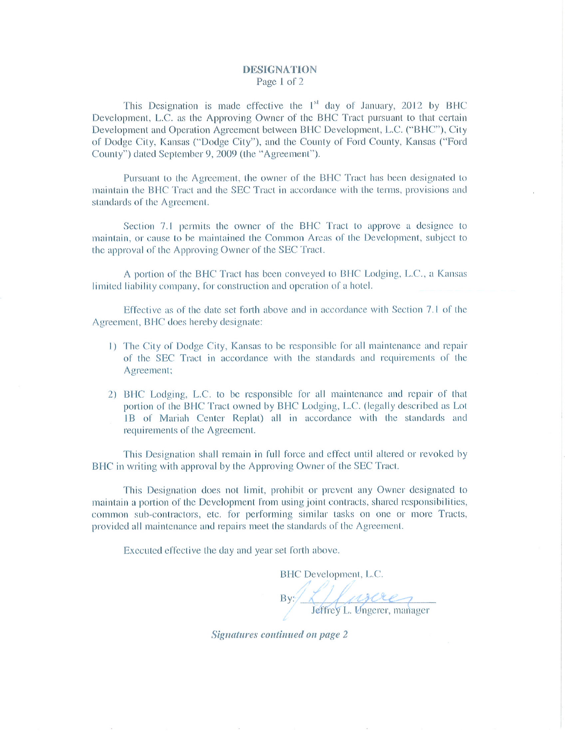#### **DESIGNATION** Page 1 of 2

This Designation is made effective the 1<sup>st</sup> day of January, 2012 by BHC Development, L.C. as the Approving Owner of the BHC Tract pursuant to that certain Development and Operation Agreement between BHC Development, L.C. ("BHC"), City of Dodge City, Kansas ("Dodge City"), and the County of Ford County, Kansas ("Ford County") dated September 9, 2009 (the "Agreement").

Pursuant to the Agreement, the owner of the BHC Tract has been designated to maintain the BHC Tract and the SEC Tract in accordance with the terms, provisions and standards of the Agreement.

Section 7.1 permits the owner of the BHC Tract to approve a designee to maintain, or cause to be maintained the Common Areas of the Development, subject to the approval of the Approving Owner of the SEC Tract.

A portion of the BHC Tract has been conveyed to BHC Lodging, L.C., a Kansas limited liability company, for construction and operation of a hotel.

Effective as of the date set forth above and in accordance with Section 7.1 of the Agreement, BHC does hereby designate:

- 1) The City of Dodge City, Kansas to be responsible for all maintenance and repair of the SEC Tract in accordance with the standards and requirements of the Agreement:
- 2) BHC Lodging, L.C. to be responsible for all maintenance and repair of that portion of the BHC Tract owned by BHC Lodging, L.C. (legally described as Lot 1B of Mariah Center Replat) all in accordance with the standards and requirements of the Agreement.

This Designation shall remain in full force and effect until altered or revoked by BHC in writing with approval by the Approving Owner of the SEC Tract.

This Designation does not limit, prohibit or prevent any Owner designated to maintain a portion of the Development from using joint contracts, shared responsibilities, common sub-contractors, etc. for performing similar tasks on one or more Tracts, provided all maintenance and repairs meet the standards of the Agreement.

Executed effective the day and year set forth above.

BHC Development, L.C. By: Allascre

Signatures continued on page 2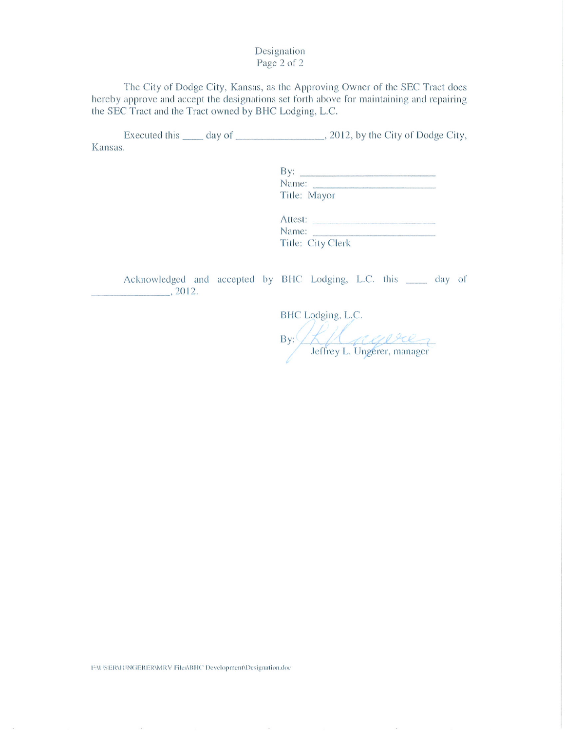Designation Page 2 of 2

The City of Dodge City, Kansas, as the Approving Owner of the SEC Tract does hereby approve and accept the designations set forth above for maintaining and repairing the SEC Tract and the Tract owned by BHC Lodging, L.C.

Kansas.

> Title: Mayor

> Attest:<br>Name: Title: City Clerk

Acknowledged and accepted by BHC Lodging, L.C. this \_\_\_\_\_ day of  $\frac{1}{2012}$ .

BHC Lodging, L.C. By: Klausen Leftrey L. Ungerer, manager

FAUSERMUNGERERMARY Files\BHC Development\Designation.doc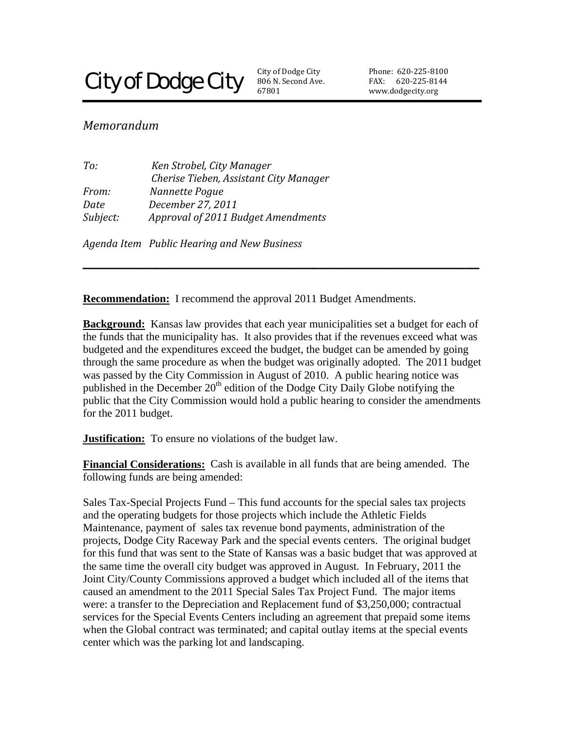# **City of Dodge City**

806 N. Second Ave. 67801 **City of Dodge City** 

Phone: 620‐225‐81 00 FAX: 620-225-8144 www.dodgecity.org

### *Memorandum*

| To:      | Ken Strobel, City Manager              |
|----------|----------------------------------------|
|          | Cherise Tieben, Assistant City Manager |
| From:    | Nannette Pogue                         |
| Date     | December 27, 2011                      |
| Subject: | Approval of 2011 Budget Amendments     |
|          |                                        |

*Agenda Item Public Hearing and New Business* 

**Recommendation:** I recommend the approval 2011 Budget Amendments.

**Background:** Kansas law provides that each year municipalities set a budget for each of the funds that the municipality has. It also provides that if the revenues exceed what was budgeted and the expenditures exceed the budget, the budget can be amended by going through the same procedure as when the budget was originally adopted. The 2011 budget was passed by the City Commission in August of 2010. A public hearing notice was published in the December  $20<sup>th</sup>$  edition of the Dodge City Daily Globe notifying the public that the City Commission would hold a public hearing to consider the amendments for the 2011 budget.

**\_\_\_\_\_\_\_\_\_\_\_\_\_\_\_\_\_\_\_\_\_\_\_\_\_\_\_\_\_\_\_\_\_\_\_\_\_\_\_\_\_\_\_** 

**Justification:** To ensure no violations of the budget law.

**Financial Considerations:** Cash is available in all funds that are being amended. The following funds are being amended:

Sales Tax-Special Projects Fund – This fund accounts for the special sales tax projects and the operating budgets for those projects which include the Athletic Fields Maintenance, payment of sales tax revenue bond payments, administration of the projects, Dodge City Raceway Park and the special events centers. The original budget for this fund that was sent to the State of Kansas was a basic budget that was approved at the same time the overall city budget was approved in August. In February, 2011 the Joint City/County Commissions approved a budget which included all of the items that caused an amendment to the 2011 Special Sales Tax Project Fund. The major items were: a transfer to the Depreciation and Replacement fund of \$3,250,000; contractual services for the Special Events Centers including an agreement that prepaid some items when the Global contract was terminated; and capital outlay items at the special events center which was the parking lot and landscaping.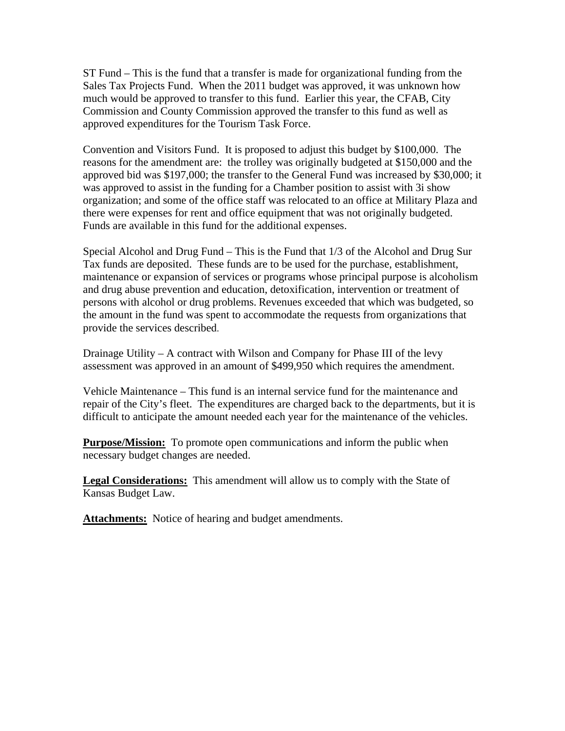ST Fund – This is the fund that a transfer is made for organizational funding from the Sales Tax Projects Fund. When the 2011 budget was approved, it was unknown how much would be approved to transfer to this fund. Earlier this year, the CFAB, City Commission and County Commission approved the transfer to this fund as well as approved expenditures for the Tourism Task Force.

Convention and Visitors Fund. It is proposed to adjust this budget by \$100,000. The reasons for the amendment are: the trolley was originally budgeted at \$150,000 and the approved bid was \$197,000; the transfer to the General Fund was increased by \$30,000; it was approved to assist in the funding for a Chamber position to assist with 3i show organization; and some of the office staff was relocated to an office at Military Plaza and there were expenses for rent and office equipment that was not originally budgeted. Funds are available in this fund for the additional expenses.

Special Alcohol and Drug Fund – This is the Fund that 1/3 of the Alcohol and Drug Sur Tax funds are deposited. These funds are to be used for the purchase, establishment, maintenance or expansion of services or programs whose principal purpose is alcoholism and drug abuse prevention and education, detoxification, intervention or treatment of persons with alcohol or drug problems. Revenues exceeded that which was budgeted, so the amount in the fund was spent to accommodate the requests from organizations that provide the services described.

Drainage Utility – A contract with Wilson and Company for Phase III of the levy assessment was approved in an amount of \$499,950 which requires the amendment.

Vehicle Maintenance – This fund is an internal service fund for the maintenance and repair of the City's fleet. The expenditures are charged back to the departments, but it is difficult to anticipate the amount needed each year for the maintenance of the vehicles.

**Purpose/Mission:** To promote open communications and inform the public when necessary budget changes are needed.

**Legal Considerations:** This amendment will allow us to comply with the State of Kansas Budget Law.

Attachments: Notice of hearing and budget amendments.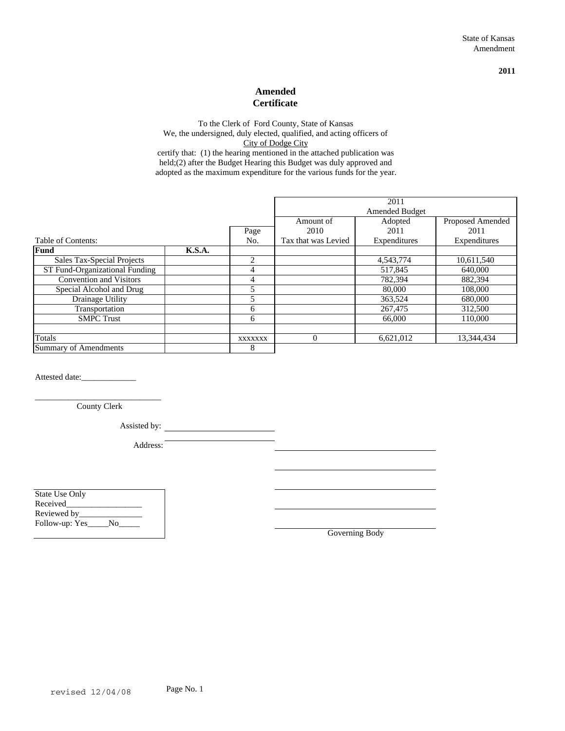**2011**

#### **Amended Certificate**

certify that: (1) the hearing mentioned in the attached publication was held;(2) after the Budget Hearing this Budget was duly approved and adopted as the maximum expenditure for the various funds for the year. To the Clerk of Ford County, State of Kansas We, the undersigned, duly elected, qualified, and acting officers of City of Dodge City

|                                |        |         | 2011                  |              |                  |
|--------------------------------|--------|---------|-----------------------|--------------|------------------|
|                                |        |         | <b>Amended Budget</b> |              |                  |
|                                |        |         | Amount of             | Adopted      | Proposed Amended |
|                                |        | Page    | 2010                  | 2011         | 2011             |
| Table of Contents:             |        | No.     | Tax that was Levied   | Expenditures | Expenditures     |
| <b>Fund</b>                    | K.S.A. |         |                       |              |                  |
| Sales Tax-Special Projects     |        | 2       |                       | 4,543,774    | 10,611,540       |
| ST Fund-Organizational Funding |        | 4       |                       | 517,845      | 640,000          |
| <b>Convention and Visitors</b> |        | 4       |                       | 782,394      | 882,394          |
| Special Alcohol and Drug       |        | 5       |                       | 80,000       | 108,000          |
| Drainage Utility               |        |         |                       | 363,524      | 680,000          |
| Transportation                 |        | 6       |                       | 267,475      | 312,500          |
| <b>SMPC Trust</b>              |        | 6       |                       | 66,000       | 110,000          |
|                                |        |         |                       |              |                  |
| Totals                         |        | XXXXXXX | $\theta$              | 6,621,012    | 13,344,434       |
| <b>Summary of Amendments</b>   |        | 8       |                       |              |                  |

Attested date:\_\_\_\_\_\_\_\_\_\_\_\_\_

\_\_\_\_\_\_\_\_\_\_\_\_\_\_\_\_\_\_\_\_\_\_\_\_\_\_\_\_\_\_ County Clerk

Assisted by:

Address:

State Use Only Received\_\_\_\_\_\_\_\_\_\_\_\_\_\_\_\_\_\_ Reviewed by\_ Follow-up: Yes\_\_\_\_\_No\_\_\_\_\_

Governing Body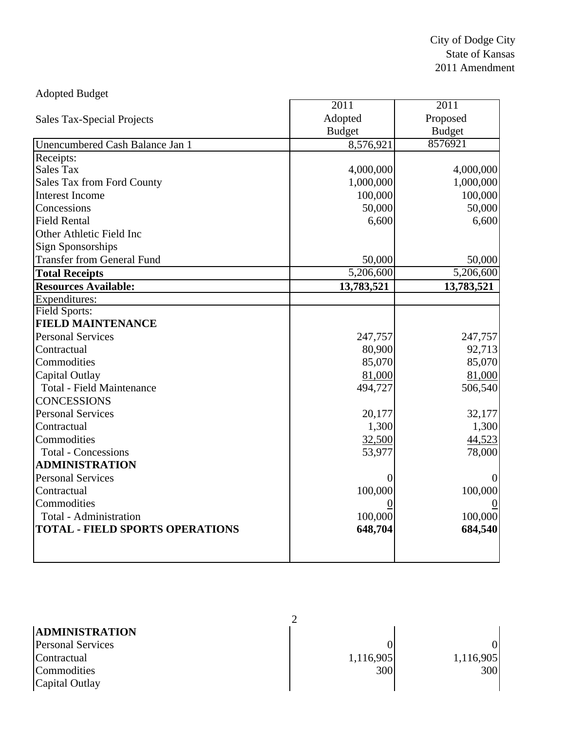| <b>Adopted Budget</b>                  |                   |                   |
|----------------------------------------|-------------------|-------------------|
|                                        | $\overline{2011}$ | $\overline{2011}$ |
| <b>Sales Tax-Special Projects</b>      | Adopted           | Proposed          |
|                                        | <b>Budget</b>     | <b>Budget</b>     |
| Unencumbered Cash Balance Jan 1        | 8,576,921         | 8576921           |
| Receipts:                              |                   |                   |
| <b>Sales Tax</b>                       | 4,000,000         | 4,000,000         |
| Sales Tax from Ford County             | 1,000,000         | 1,000,000         |
| <b>Interest Income</b>                 | 100,000           | 100,000           |
| Concessions                            | 50,000            | 50,000            |
| <b>Field Rental</b>                    | 6,600             | 6,600             |
| Other Athletic Field Inc               |                   |                   |
| <b>Sign Sponsorships</b>               |                   |                   |
| <b>Transfer from General Fund</b>      | 50,000            | 50,000            |
| <b>Total Receipts</b>                  | 5,206,600         | 5,206,600         |
| <b>Resources Available:</b>            | 13,783,521        | 13,783,521        |
| Expenditures:                          |                   |                   |
| <b>Field Sports:</b>                   |                   |                   |
| <b>FIELD MAINTENANCE</b>               |                   |                   |
| <b>Personal Services</b>               | 247,757           | 247,757           |
| Contractual                            | 80,900            | 92,713            |
| Commodities                            | 85,070            | 85,070            |
| Capital Outlay                         | 81,000            | 81,000            |
| <b>Total - Field Maintenance</b>       | 494,727           | 506,540           |
| <b>CONCESSIONS</b>                     |                   |                   |
| <b>Personal Services</b>               | 20,177            | 32,177            |
| Contractual                            | 1,300             | 1,300             |
| Commodities                            | 32,500            | 44,523            |
| <b>Total - Concessions</b>             | 53,977            | 78,000            |
| <b>ADMINISTRATION</b>                  |                   |                   |
| <b>Personal Services</b>               |                   |                   |
| Contractual                            | 100,000           | 100,000           |
| Commodities                            |                   |                   |
| <b>Total - Administration</b>          | 100,000           | 100,000           |
| <b>TOTAL - FIELD SPORTS OPERATIONS</b> | 648,704           | 684,540           |
|                                        |                   |                   |
|                                        |                   |                   |

| <b>ADMINISTRATION</b>    |           |           |
|--------------------------|-----------|-----------|
| <b>Personal Services</b> |           | ΩI        |
| Contractual              | 1,116,905 | 1,116,905 |
| Commodities              | 300       | 300       |
| Capital Outlay           |           |           |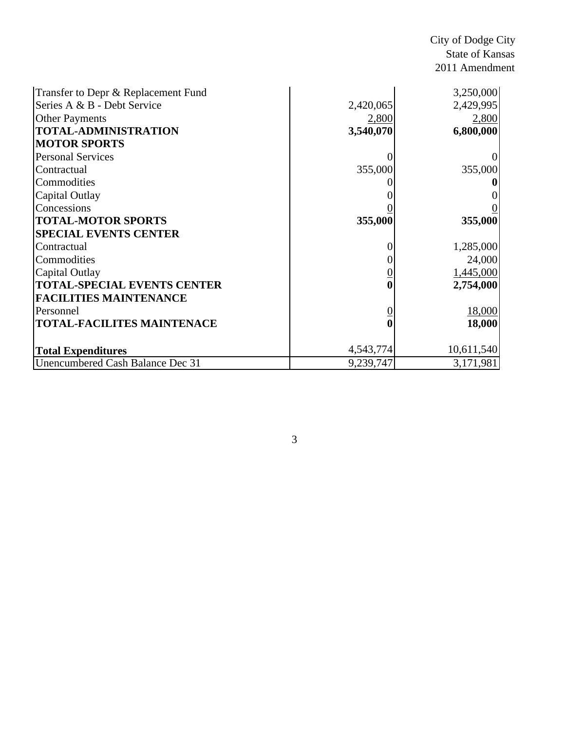City of Dodge City State of Kansas 2011 Amendment

| Transfer to Depr & Replacement Fund |           | 3,250,000  |
|-------------------------------------|-----------|------------|
| Series A & B - Debt Service         | 2,420,065 | 2,429,995  |
| <b>Other Payments</b>               | 2,800     | 2,800      |
| <b>TOTAL-ADMINISTRATION</b>         | 3,540,070 | 6,800,000  |
| <b>MOTOR SPORTS</b>                 |           |            |
| <b>Personal Services</b>            |           |            |
| Contractual                         | 355,000   | 355,000    |
| Commodities                         |           |            |
| Capital Outlay                      |           |            |
| Concessions                         |           |            |
| <b>TOTAL-MOTOR SPORTS</b>           | 355,000   | 355,000    |
| <b>SPECIAL EVENTS CENTER</b>        |           |            |
| Contractual                         |           | 1,285,000  |
| Commodities                         |           | 24,000     |
| Capital Outlay                      |           | 1,445,000  |
| <b>TOTAL-SPECIAL EVENTS CENTER</b>  |           | 2,754,000  |
| <b>FACILITIES MAINTENANCE</b>       |           |            |
| Personnel                           |           | 18,000     |
| <b>TOTAL-FACILITES MAINTENACE</b>   |           | 18,000     |
|                                     |           |            |
| <b>Total Expenditures</b>           | 4,543,774 | 10,611,540 |
| Unencumbered Cash Balance Dec 31    | 9,239,747 | 3,171,981  |

3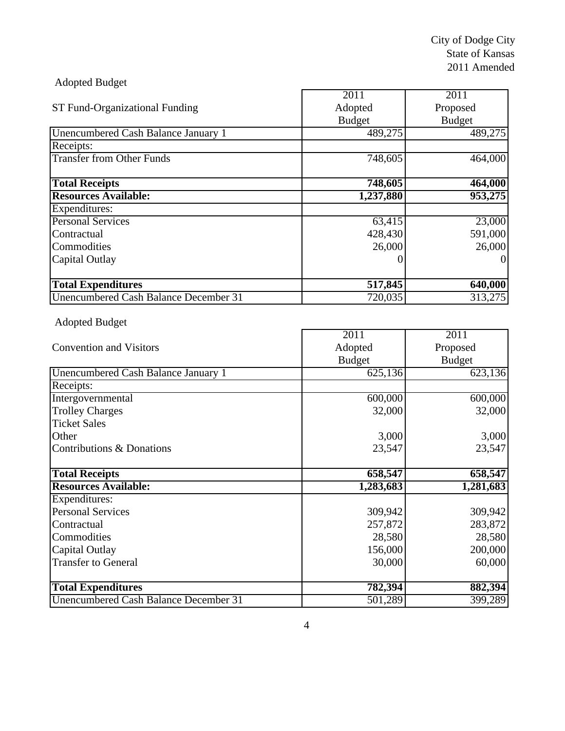| <b>Adopted Budget</b>                 |               |               |
|---------------------------------------|---------------|---------------|
|                                       | 2011          | 2011          |
| ST Fund-Organizational Funding        | Adopted       | Proposed      |
|                                       | <b>Budget</b> | <b>Budget</b> |
| Unencumbered Cash Balance January 1   | 489,275       | 489,275       |
| Receipts:                             |               |               |
| <b>Transfer from Other Funds</b>      | 748,605       | 464,000       |
| <b>Total Receipts</b>                 | 748,605       | 464,000       |
| <b>Resources Available:</b>           | 1,237,880     | 953,275       |
| Expenditures:                         |               |               |
| <b>Personal Services</b>              | 63,415        | 23,000        |
| Contractual                           | 428,430       | 591,000       |
| Commodities                           | 26,000        | 26,000        |
| Capital Outlay                        |               | $\theta$      |
| <b>Total Expenditures</b>             | 517,845       | 640,000       |
| Unencumbered Cash Balance December 31 | 720,035       | 313,275       |

r

# Adopted Budget

|                                     | 2011          | 2011          |
|-------------------------------------|---------------|---------------|
| <b>Convention and Visitors</b>      | Adopted       | Proposed      |
|                                     | <b>Budget</b> | <b>Budget</b> |
| Unencumbered Cash Balance January 1 | 625,136       | 623,136       |
| Receipts:                           |               |               |
| Intergovernmental                   | 600,000       | 600,000       |
| <b>Trolley Charges</b>              | 32,000        | 32,000        |
| <b>Ticket Sales</b>                 |               |               |
| Other                               | 3,000         | 3,000         |
| Contributions & Donations           | 23,547        | 23,547        |
|                                     |               |               |
| <b>Total Receipts</b>               | 658,547       | 658,547       |
|                                     |               |               |
| <b>Resources Available:</b>         | 1,283,683     | 1,281,683     |
| Expenditures:                       |               |               |
| <b>Personal Services</b>            | 309,942       | 309,942       |
| Contractual                         | 257,872       | 283,872       |
| Commodities                         | 28,580        | 28,580        |
| Capital Outlay                      | 156,000       | 200,000       |
| <b>Transfer to General</b>          | 30,000        |               |
|                                     |               | 60,000        |
| <b>Total Expenditures</b>           | 782,394       | 882,394       |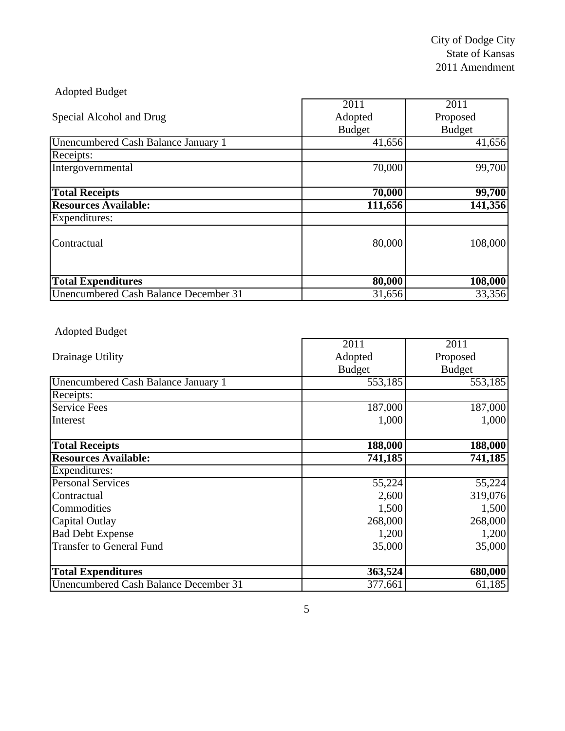| <b>Adopted Budget</b>                 |               |               |
|---------------------------------------|---------------|---------------|
|                                       | 2011          | 2011          |
| Special Alcohol and Drug              | Adopted       | Proposed      |
|                                       | <b>Budget</b> | <b>Budget</b> |
| Unencumbered Cash Balance January 1   | 41,656        | 41,656        |
| Receipts:                             |               |               |
| Intergovernmental                     | 70,000        | 99,700        |
| <b>Total Receipts</b>                 | 70,000        | 99,700        |
| <b>Resources Available:</b>           | 111,656       | 141,356       |
| Expenditures:                         |               |               |
| Contractual                           | 80,000        | 108,000       |
| <b>Total Expenditures</b>             | 80,000        | 108,000       |
| Unencumbered Cash Balance December 31 | 31,656        | 33,356        |

# Adopted Budget

|                                       | 2011          | 2011          |
|---------------------------------------|---------------|---------------|
| Drainage Utility                      | Adopted       | Proposed      |
|                                       | <b>Budget</b> | <b>Budget</b> |
| Unencumbered Cash Balance January 1   | 553,185       | 553,185       |
| Receipts:                             |               |               |
| <b>Service Fees</b>                   | 187,000       | 187,000       |
| Interest                              | 1,000         | 1,000         |
|                                       |               |               |
| <b>Total Receipts</b>                 | 188,000       | 188,000       |
| <b>Resources Available:</b>           | 741,185       | 741,185       |
| Expenditures:                         |               |               |
| <b>Personal Services</b>              | 55,224        | 55,224        |
| Contractual                           | 2,600         | 319,076       |
| Commodities                           | 1,500         | 1,500         |
| <b>Capital Outlay</b>                 | 268,000       | 268,000       |
| <b>Bad Debt Expense</b>               | 1,200         | 1,200         |
| <b>Transfer to General Fund</b>       | 35,000        | 35,000        |
|                                       |               |               |
| <b>Total Expenditures</b>             | 363,524       | 680,000       |
| Unencumbered Cash Balance December 31 | 377,661       | 61,185        |